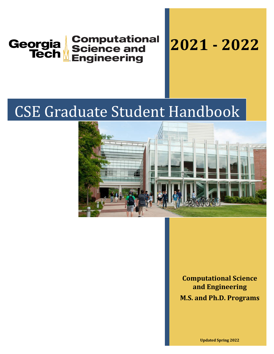

# CSE Graduate Student Handbook



**Computational Science and Engineering M.S. and Ph.D. Programs**

**Updated Spring 2022**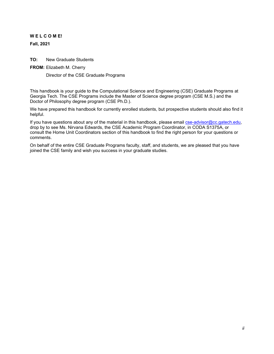#### **W E L C O M E!**

**Fall, 2021**

**TO:** New Graduate Students

#### **FROM:** Elizabeth M. Cherry

Director of the CSE Graduate Programs

This handbook is your guide to the Computational Science and Engineering (CSE) Graduate Programs at Georgia Tech. The CSE Programs include the Master of Science degree program (CSE M.S.) and the Doctor of Philosophy degree program (CSE Ph.D.).

We have prepared this handbook for currently enrolled students, but prospective students should also find it helpful.

If you have questions about any of the material in this handbook, please email [cse-advisor@cc.gatech.edu,](mailto:cse-advisor@cc.gatech.edud) drop by to see Ms. Nirvana Edwards, the CSE Academic Program Coordinator, in CODA S1375A, or consult the Home Unit Coordinators section of this handbook to find the right person for your questions or comments.

On behalf of the entire CSE Graduate Programs faculty, staff, and students, we are pleased that you have joined the CSE family and wish you success in your graduate studies.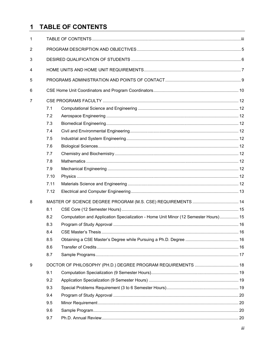#### **TABLE OF CONTENTS**  $\mathbf 1$

| 1              |      |                                                                                     |  |  |  |
|----------------|------|-------------------------------------------------------------------------------------|--|--|--|
| $\overline{2}$ |      |                                                                                     |  |  |  |
| 3              |      |                                                                                     |  |  |  |
| 4              |      |                                                                                     |  |  |  |
| 5              |      |                                                                                     |  |  |  |
| 6              |      |                                                                                     |  |  |  |
| 7              |      |                                                                                     |  |  |  |
|                | 7.1  |                                                                                     |  |  |  |
|                | 7.2  |                                                                                     |  |  |  |
|                | 7.3  |                                                                                     |  |  |  |
|                | 7.4  |                                                                                     |  |  |  |
|                | 7.5  |                                                                                     |  |  |  |
|                | 7.6  |                                                                                     |  |  |  |
|                | 7.7  |                                                                                     |  |  |  |
|                | 7.8  |                                                                                     |  |  |  |
|                | 7.9  |                                                                                     |  |  |  |
|                | 7.10 |                                                                                     |  |  |  |
|                | 7.11 |                                                                                     |  |  |  |
|                | 7.12 |                                                                                     |  |  |  |
| 8              |      |                                                                                     |  |  |  |
|                | 8.1  |                                                                                     |  |  |  |
|                | 8.2  | Computation and Application Specialization - Home Unit Minor (12 Semester Hours) 15 |  |  |  |
|                | 8.3  |                                                                                     |  |  |  |
|                | 8.4  |                                                                                     |  |  |  |
|                | 8.5  |                                                                                     |  |  |  |
|                | 8.6  |                                                                                     |  |  |  |
|                | 8.7  |                                                                                     |  |  |  |
| 9              |      | DOCTOR OF PHILOSOPHY (PH.D.) DEGREE PROGRAM REQUIREMENTS  18                        |  |  |  |
|                | 9.1  |                                                                                     |  |  |  |
|                | 9.2  |                                                                                     |  |  |  |
|                | 9.3  |                                                                                     |  |  |  |
|                | 9.4  |                                                                                     |  |  |  |
|                | 9.5  |                                                                                     |  |  |  |
|                | 9.6  |                                                                                     |  |  |  |
|                | 9.7  |                                                                                     |  |  |  |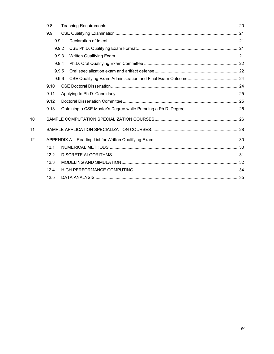|     | 9.8  |       |  |  |
|-----|------|-------|--|--|
| 9.9 |      |       |  |  |
|     |      | 9.9.1 |  |  |
|     |      | 9.9.2 |  |  |
|     |      | 9.9.3 |  |  |
|     |      | 9.9.4 |  |  |
|     |      | 9.9.5 |  |  |
|     |      | 9.9.6 |  |  |
|     | 9.10 |       |  |  |
|     | 9.11 |       |  |  |
|     | 9.12 |       |  |  |
|     | 9.13 |       |  |  |
| 10  |      |       |  |  |
| 11  |      |       |  |  |
| 12  |      |       |  |  |
|     | 12.1 |       |  |  |
|     | 12.2 |       |  |  |
|     | 12.3 |       |  |  |
|     | 12.4 |       |  |  |
|     | 12.5 |       |  |  |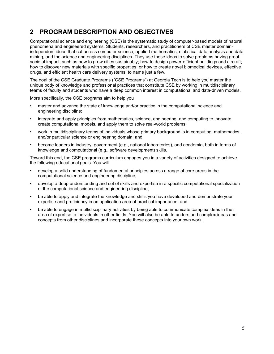## **2 PROGRAM DESCRIPTION AND OBJECTIVES**

Computational science and engineering (CSE) is the systematic study of computer-based models of natural phenomena and engineered systems. Students, researchers, and practitioners of CSE master domainindependent ideas that cut across computer science, applied mathematics, statistical data analysis and data mining, and the science and engineering disciplines. They use these ideas to solve problems having great societal impact, such as how to grow cities sustainably; how to design power-efficient buildings and aircraft; how to discover new materials with specific properties; or how to create novel biomedical devices, effective drugs, and efficient health care delivery systems; to name just a few.

The goal of the CSE Graduate Programs ("CSE Programs") at Georgia Tech is to help you master the unique body of knowledge and professional practices that constitute CSE by working in multidisciplinary teams of faculty and students who have a deep common interest in computational and data-driven models.

More specifically, the CSE programs aim to help you

- master and advance the state of knowledge and/or practice in the computational science and engineering discipline;
- integrate and apply principles from mathematics, science, engineering, and computing to innovate, create computational models, and apply them to solve real-world problems;
- work in multidisciplinary teams of individuals whose primary background is in computing, mathematics, and/or particular science or engineering domain; and
- become leaders in industry, government (e.g., national laboratories), and academia, both in terms of knowledge and computational (e.g., software development) skills.

Toward this end, the CSE programs curriculum engages you in a variety of activities designed to achieve the following educational goals. You will

- develop a solid understanding of fundamental principles across a range of core areas in the computational science and engineering discipline;
- develop a deep understanding and set of skills and expertise in a specific computational specialization of the computational science and engineering discipline;
- be able to apply and integrate the knowledge and skills you have developed and demonstrate your expertise and proficiency in an application area of practical importance; and
- be able to engage in multidisciplinary activities by being able to communicate complex ideas in their area of expertise to individuals in other fields. You will also be able to understand complex ideas and concepts from other disciplines and incorporate these concepts into your own work.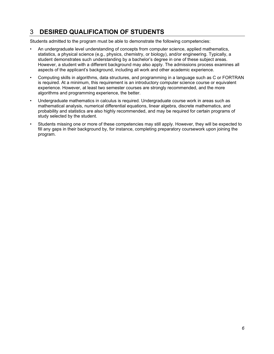## 3 **DESIRED QUALIFICATION OF STUDENTS**

Students admitted to the program must be able to demonstrate the following competencies:

- An undergraduate level understanding of concepts from computer science, applied mathematics, statistics, a physical science (e.g., physics, chemistry, or biology), and/or engineering. Typically, a student demonstrates such understanding by a bachelor's degree in one of these subject areas. However, a student with a different background may also apply. The admissions process examines all aspects of the applicant's background, including all work and other academic experience.
- Computing skills in algorithms, data structures, and programming in a language such as C or FORTRAN is required. At a minimum, this requirement is an introductory computer science course or equivalent experience. However, at least two semester courses are strongly recommended, and the more algorithms and programming experience, the better.
- Undergraduate mathematics in calculus is required. Undergraduate course work in areas such as mathematical analysis, numerical differential equations, linear algebra, discrete mathematics, and probability and statistics are also highly recommended, and may be required for certain programs of study selected by the student.
- Students missing one or more of these competencies may still apply. However, they will be expected to fill any gaps in their background by, for instance, completing preparatory coursework upon joining the program.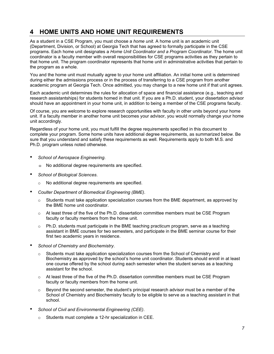## **4 HOME UNITS AND HOME UNIT REQUIREMENTS**

As a student in a CSE Program, you must choose a *home unit*. A home unit is an academic unit (Department, Division, or School) at Georgia Tech that has agreed to formally participate in the CSE programs. Each home unit designates a *Home Unit Coordinator and a Program Coordinator*. The home unit coordinator is a faculty member with overall responsibilities for CSE programs activities as they pertain to that home unit. The program coordinator represents that home unit in administrative activities that pertain to the program as a whole.

You and the home unit must mutually agree to your home unit affiliation. An initial home unit is determined during either the admissions process or in the process of transferring to a CSE program from another academic program at Georgia Tech. Once admitted, you may change to a new home unit if that unit agrees.

Each academic unit determines the rules for allocation of space and financial assistance (e.g., teaching and research assistantships) for students homed in that unit. If you are a Ph.D. student, your dissertation advisor should have an appointment in your home unit, in addition to being a member of the CSE programs faculty.

Of course, you are welcome to explore research opportunities with faculty in other units beyond your home unit. If a faculty member in another home unit becomes your advisor, you would normally change your home unit accordingly.

Regardless of your home unit, you must fulfill the degree requirements specified in this document to complete your program. Some home units have additional degree requirements, as summarized below. Be sure that you understand and satisfy these requirements as well. Requirements apply to both M.S. and Ph.D. program unless noted otherwise.

- *School of Aerospace Engineering*.
	- $\div$  No additional degree requirements are specified.
- *School of Biological Sciences*.
	- o No additional degree requirements are specified.
- *Coulter Department of Biomedical Engineering (BME)*.
	- $\circ$  Students must take application specialization courses from the BME department, as approved by the BME home unit coordinator.
	- $\circ$  At least three of the five of the Ph.D. dissertation committee members must be CSE Program faculty or faculty members from the home unit.
	- $\circ$  Ph.D. students must participate in the BME teaching practicum program, serve as a teaching assistant in BME courses for two semesters, and participate in the BME seminar course for their first two academic years in residence.
- *School of Chemistry and Biochemistry*.
	- $\circ$  Students must take application specialization courses from the School of Chemistry and Biochemistry as approved by the school's home unit coordinator. Students should enroll in at least one course offered by the school during each semester when the student serves as a teaching assistant for the school.
	- $\circ$  At least three of the five of the Ph.D. dissertation committee members must be CSE Program faculty or faculty members from the home unit.
	- $\circ$  Beyond the second semester, the student's principal research advisor must be a member of the School of Chemistry and Biochemistry faculty to be eligible to serve as a teaching assistant in that school.
- *School of Civil and Environmental Engineering (CEE)*.
	- o Students must complete a 12-hr specialization in CEE.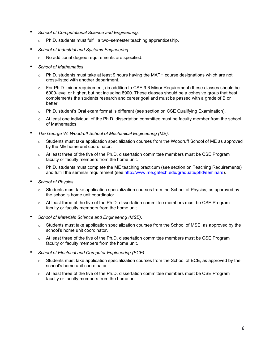- *School of Computational Science and Engineering.*
	- o Ph.D. students must fulfill a two–semester teaching apprenticeship.
- *School of Industrial and Systems Engineering*.
	- o No additional degree requirements are specified.
- *School of Mathematics*.
	- $\circ$  Ph.D. students must take at least 9 hours having the MATH course designations which are not cross-listed with another department.
	- $\circ$  For Ph.D. minor requirement, (in addition to CSE 9.6 Minor Requirement) these classes should be 6000-level or higher, but not including 8900. These classes should be a cohesive group that best complements the students research and career goal and must be passed with a grade of B or better.
	- $\circ$  Ph.D. student's Oral exam format is different (see section on CSE Qualifying Examination).
	- $\circ$  At least one individual of the Ph.D. dissertation committee must be faculty member from the school of Mathematics.
- *The George W. Woodruff School of Mechanical Engineering (ME)*.
	- Students must take application specialization courses from the Woodruff School of ME as approved by the ME home unit coordinator.
	- $\circ$  At least three of the five of the Ph.D. dissertation committee members must be CSE Program faculty or faculty members from the home unit.
	- $\circ$  Ph.D. students must complete the ME teaching practicum (see section on Teaching Requirements) and fulfill the seminar requirement (see [http://www.me.gatech.edu/graduate/phd/seminars\)](http://www.me.gatech.edu/graduate/phd/seminars).
- *School of Physics*.
	- $\circ$  Students must take application specialization courses from the School of Physics, as approved by the school's home unit coordinator.
	- At least three of the five of the Ph.D. dissertation committee members must be CSE Program faculty or faculty members from the home unit.
- *School of Materials Science and Engineering (MSE)*.
	- $\circ$  Students must take application specialization courses from the School of MSE, as approved by the school's home unit coordinator.
	- $\circ$  At least three of the five of the Ph.D. dissertation committee members must be CSE Program faculty or faculty members from the home unit.
- *School of Electrical and Computer Engineering (ECE)*.
	- $\circ$  Students must take application specialization courses from the School of ECE, as approved by the school's home unit coordinator.
	- o At least three of the five of the Ph.D. dissertation committee members must be CSE Program faculty or faculty members from the home unit.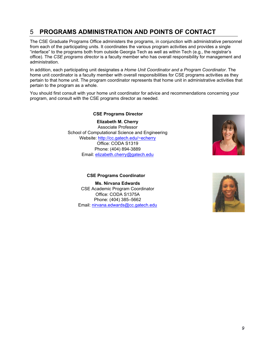## 5 **PROGRAMS ADMINISTRATION AND POINTS OF CONTACT**

The CSE Graduate Programs Office administers the programs, in conjunction with administrative personnel from each of the participating units. It coordinates the various program activities and provides a single "interface" to the programs both from outside Georgia Tech as well as within Tech (e.g., the registrar's office). The *CSE programs director* is a faculty member who has overall responsibility for management and administration.

In addition, each participating unit designates a *Home Unit Coordinator and a Program Coordinator*. The home unit coordinator is a faculty member with overall responsibilities for CSE programs activities as they pertain to that home unit. The program coordinator represents that home unit in administrative activities that pertain to the program as a whole.

You should first consult with your home unit coordinator for advice and recommendations concerning your program, and consult with the CSE programs director as needed.

#### **CSE Programs Director**

**Elizabeth M. Cherry** Associate Professor School of Computational Science and Engineering Website: [http://cc.gatech.edu/~echerry](http://cc.gatech.edu/%7Eecherry) Office: CODA S1319 Phone: (404) 894-3889 Email: [elizabeth.cherry@gatech.edu](mailto:umit@gatech.edu)



#### **CSE Programs Coordinator**

**Ms. Nirvana Edwards** CSE Academic Program Coordinator Office: CODA S1375A Phone: (404) 385–5662 Email: [nirvana.edwards@cc.gatech.edu](mailto:nirvana.edwards@cc.gatech.edu)

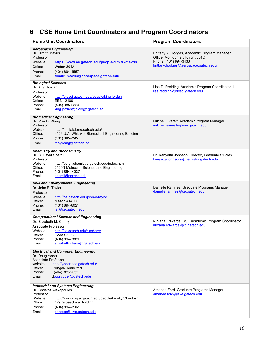## **6 CSE Home Unit Coordinators and Program Coordinators**

| <b>Home Unit Coordinators</b>                                                                                                                                                                                                                                  | <b>Program Coordinators</b>                                                                                                                     |  |
|----------------------------------------------------------------------------------------------------------------------------------------------------------------------------------------------------------------------------------------------------------------|-------------------------------------------------------------------------------------------------------------------------------------------------|--|
| <b>Aerospace Engineering</b><br>Dr. Dimitri Mavris<br>Professor<br>Website:<br>https://www.ae.gatech.edu/people/dimitri-mayris<br>Weber 301A<br>Office:<br>Phone:<br>(404) 894-1557<br>dimitri.mavris@aerospace.gatech.edu<br>Email:                           | Brittany Y. Hodges, Academic Program Manager<br>Office: Montgomery Knight 301C<br>Phone: (404) 894-3433<br>brittany.hodges@aerospace.gatech.edu |  |
| <b>Biological Sciences</b><br>Dr. King Jordan<br>Professor<br>Website:<br>http://biosci.gatech.edu/people/king-jordan<br>Office:<br>EBB-2109<br>Phone:<br>(404) 385-2224<br>Email:<br>king.jordan@biology.gatech.edu                                           | Lisa D. Redding, Academic Program Coordinator II<br>lisa.redding@biosci.gatech.edu                                                              |  |
| <b>Biomedical Engineering</b><br>Dr. May D. Wang<br>Professor<br>Website:<br>http://miblab.bme.gatech.edu/<br>4106 U.A. Whitaker Biomedical Engineering Building<br>Office:<br>Phone:<br>(404) 385-2954<br>Email:<br>maywang@gatech.edu                        | Mitchell Everett, AcademicProgram Manager<br>mitchell.everett@bme.gatech.edu                                                                    |  |
| <b>Chemistry and Biochemistry</b><br>Dr. C. David Sherrill<br>Professor<br>Website:<br>http://vergil.chemistry.gatech.edu/index.html<br>2100N Molecular Science and Engineering<br>Office:<br>(404) 894-4037<br>Phone:<br>sherrill@gatech.edu<br>Email:        | Dr. Kenyetta Johnson, Director, Graduate Studies<br>kenyetta.johnson@chemistry.gatech.edu                                                       |  |
| <b>Civil and Environmental Engineering</b><br>Dr. John E. Taylor<br>Professor<br>Website:<br>http://ce.gatech.edu/john-e-taylor<br>Mason 4140C<br>Office:<br>(404) 894-8021<br>Phone:<br>jet@ce.gatech.edu<br>Email:                                           | Danielle Ramirez, Graduate Programs Manager<br>danielle.ramirez@ce.gatech.edu                                                                   |  |
| <b>Computational Science and Engineering</b><br>Dr. Elizabeth M. Cherry<br>Associate Professor<br>Website:<br>http://cc.gatech.edu/~echerry<br>Office:<br><b>Coda S1319</b><br>Phone:<br>(404) 894-3889<br>Email:<br>elizabeth.cherry@gatech.edu               | Nirvana Edwards, CSE Academic Program Coordinator<br>nirvana.edwards@cc.gatech.edu                                                              |  |
| <b>Electrical and Computer Engineering</b><br>Dr. Doug Yoder<br>Associate Professor<br>website:<br>http://yoder.ece.gatech.edu/<br>Office:<br>Bunger-Henry 219<br>(404) 385-2652<br>Phone:<br>doug.yoder@gatech.edu<br>Email:                                  |                                                                                                                                                 |  |
| <b>Industrial and Systems Engineering</b><br>Dr. Christos Alexopoulos<br>Professor<br>Website:<br>http://www2.isye.gatech.edu/people/faculty/Christos/<br>Office:<br>429 Groseclose Building<br>(404) 894-2361<br>Phone:<br>christos@isye.gatech.edu<br>Email: | Amanda Ford, Graduate Programs Manager<br>amanda.ford@isye.gatech.edu                                                                           |  |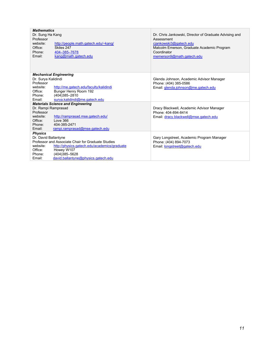| <b>Mathematics</b>                                 |                                              |                                                        |  |
|----------------------------------------------------|----------------------------------------------|--------------------------------------------------------|--|
| Dr. Sung Ha Kang                                   |                                              | Dr. Chris Jankowski, Director of Graduate Advising and |  |
| Professor                                          |                                              | Assessment                                             |  |
| website:                                           | http://people.math.gatech.edu/~kang/         | ciankowski3@gatech.edu                                 |  |
| Office:                                            | Skiles 247                                   | Malcolm Emerson, Graduate Academic Program             |  |
| Phone:                                             | 404-385-7678                                 | Coordinator                                            |  |
| Email:                                             | kang@math.gatech.edu                         | memerson9@math.gatech.edu                              |  |
|                                                    |                                              |                                                        |  |
|                                                    |                                              |                                                        |  |
|                                                    | <b>Mechanical Engineering</b>                |                                                        |  |
| Dr. Surya Kalidindi                                |                                              | Glenda Johnson, Academic Advisor Manager               |  |
| Professor                                          |                                              | Phone: (404) 385-0586                                  |  |
| website:                                           | http://me.gatech.edu/faculty/kalidindi       | Email: glenda.johnson@me.gatech.edu                    |  |
| Office:                                            | Bunger Henry Room 192                        |                                                        |  |
| Phone:                                             | (404)385-2810                                |                                                        |  |
| Email:                                             | surya.kalidindi@me.gatech.edu                |                                                        |  |
|                                                    | <b>Materials Science and Engineering</b>     |                                                        |  |
| Dr. Rampi Ramprasad                                |                                              | Dracy Blackwell, Academic Advisor Manager              |  |
| Professor                                          |                                              | Phone: 404-894-8414                                    |  |
| website:                                           | http://ramprasad.mse.gatech.edu/             | Email: dracy.blackwell@mse.gatech.edu                  |  |
| Office:                                            | Love 366                                     |                                                        |  |
| Phone:                                             | 404-385-2471                                 |                                                        |  |
| Email:                                             | rampi.ramprasad@mse.gatech.edu               |                                                        |  |
| <b>Physics</b>                                     |                                              |                                                        |  |
| Dr. David Ballantyne                               |                                              | Gary Longstreet, Academic Program Manager              |  |
| Professor and Associate Chair for Graduate Studies |                                              | Phone: (404) 894-7073                                  |  |
| website:                                           | http://physics.gatech.edu/academics/graduate | Email: longstreet@gatech.edu                           |  |
| Office:                                            | Howey W107                                   |                                                        |  |
| Phone:                                             | (404)385-5628                                |                                                        |  |
| Email:                                             | david.ballantyne@physics.gatech.edu          |                                                        |  |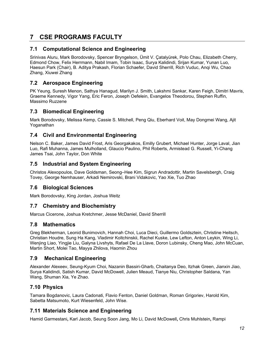## **7 CSE PROGRAMS FACULTY**

#### **7.1 Computational Science and Engineering**

Srinivas Aluru, Mark Borodovsky, Spencer Bryngelson, Ümit V. Çatalyürek, Polo Chau, Elizabeth Cherry, Edmond Chow, Felix Herrmann, Nabil Imam, Tobin Isaac, Surya Kalidindi, Srijan Kumar, Yunan Luo, Haesun Park (Chair), B. Aditya Prakash, Florian Schaefer, David Sherrill, Rich Vuduc, Anqi Wu, Chao Zhang, Xiuwei Zhang

#### **7.2 Aerospace Engineering**

PK Yeung, Suresh Menon, Sathya Hanagud, Marilyn J. Smith, Lakshmi Sankar, Karen Feigh, Dimitri Mavris, Graeme Kennedy, Vigor Yang, Eric Feron, Joseph Oefelein, Evangelos Theodorou, Stephen Ruffin, Massimo Ruzzene

#### **7.3 Biomedical Engineering**

Mark Borodovsky, Melissa Kemp, Cassie S. Mitchell, Peng Qiu, Eberhard Voit, May Dongmei Wang, Ajit Yoganathan

#### **7.4 Civil and Environmental Engineering**

Nelson C. Baker, James David Frost, Aris Georgakakos, Emilly Grubert, Michael Hunter, Jorge Laval, Jian Luo, Rafi Muhanna, James Mulholland, Glaucio Paulino, Phil Roberts, Armistead G. Russell, Yi-Chang James Tsai, John Taylor, Don White

#### **7.5 Industrial and System Engineering**

Christos Alexopoulos, Dave Goldsman, Seong–Hee Kim, Sigrun Andradottir, Martin Savelsbergh, Craig Tovey, George Nemhauser, Arkadi Nemirovski, Brani Vidakovic, Yao Xie, Tuo Zhao

#### **7.6 Biological Sciences**

Mark Borodovsky, King Jordan, Joshua Weitz

#### **7.7 Chemistry and Biochemistry**

Marcus Cicerone, Joshua Kretchmer, Jesse McDaniel, David Sherrill

#### **7.8 Mathematics**

Greg Blekherman, Leonid Bunimovich, Hannah Choi, Luca Dieci, Guillermo Goldsztein, Christine Heitsch, Christian Houdre, Sung Ha Kang, Vladimir Koltchinskii, Rachel Kuske, Lew Lefton, Anton Leykin, Wing Li, Wenjing Liao, Yingjie Liu, Galyna Livshyts, Rafael De La Llave, Doron Lubinsky, Cheng Mao, John McCuan, Martin Short, Molei Tao, Mayya Zhilova, Haomin Zhou

#### **7.9 Mechanical Engineering**

Alexander Alexeev, Seung-Kyum Choi, Nazanin Bassiri-Gharb, Chaitanya Deo, Itzhak Green, Jianxin Jiao, Surya Kalidindi, Satish Kumar, David McDowell, Julien Meaud, Tianye Niu, Christopher Saldana, Yan Wang, Shuman Xia, Ye Zhao.

#### **7.10 Physics**

Tamara Bogdanovic, Laura Cadonati, Flavio Fenton, Daniel Goldman, Roman Grigoriev, Harold Kim, Sabetta Matsumoto, Kurt Wiesenfeld, John Wise.

#### **7.11 Materials Science and Engineering**

Hamid Garmestani**,** Karl Jacob, Seung Soon Jang, Mo Li, David McDowell**,** Chris Muhlstein**,** Rampi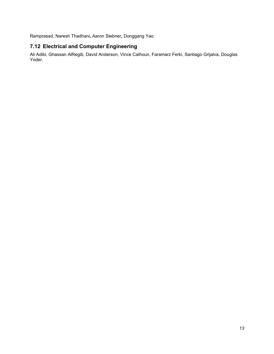Ramprasad, Naresh Thadhani**,** Aaron Stebner**,** Donggang Yao.

#### **7.12 Electrical and Computer Engineering**

Ali Adibi, Ghassan AlRegib, David Anderson, Vince Calhoun, Faramarz Ferki, Santiago Grijalva, Douglas Yoder.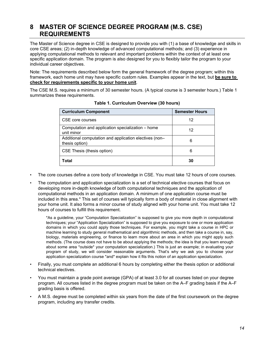## **8 MASTER OF SCIENCE DEGREE PROGRAM (M.S. CSE) REQUIREMENTS**

The Master of Science degree in CSE is designed to provide you with (1) a base of knowledge and skills in core CSE areas; (2) in-depth knowledge of advanced computational methods; and (3) experience in applying computational methods to relevant and important problems within the context of at least one specific application domain. The program is also designed for you to flexibly tailor the program to your individual career objectives.

Note: The requirements described below form the general framework of the degree program; within this framework, each home unit may have specific custom rules. Examples appear in the text, but **be sure to check for requirements specific to your home unit**.

The CSE M.S. requires a minimum of 30 semester hours. (A typical course is 3 semester hours.) Table 1 summarizes these requirements.

| <b>Curriculum Component</b>                                              | <b>Semester Hours</b> |
|--------------------------------------------------------------------------|-----------------------|
| CSE core courses                                                         | 12                    |
| Computation and application specialization – home<br>unit minor          | 12                    |
| Additional computation and application electives (non-<br>thesis option) | 6                     |
| CSE Thesis (thesis option)                                               | 6                     |
| Total                                                                    | 30                    |

**Table 1. Curriculum Overview (30 hours)**

- The core courses define a core body of knowledge in CSE. You must take 12 hours of core courses.
- The computation and application specialization is a set of technical elective courses that focus on developing more in-depth knowledge of both computational techniques and the application of computational methods in an application domain. A minimum of one application course must be included in this area.\* This set of courses will typically form a body of material in close alignment with your home unit. It also forms a minor course of study aligned with your home unit. You must take 12 hours of courses to fulfill this requirement.

\*As a guideline, your "Computation Specialization" is supposed to give you more depth in computational techniques; your "Application Specialization" is supposed to give you exposure to one or more application domains in which you could apply those techniques. For example, you might take a course in HPC or machine learning to study general mathematical and algorithmic methods, and then take a course in, say, biology, materials engineering, or finance to learn more about an area in which you might apply such methods. (The course does not have to be about applying the methods; the idea is that you learn enough about some area \*outside\* your computation specialization.) This is just an example; in evaluating your program of study, we will consider reasonable arguments. That's why we ask you to choose your application specialization course \*and\* explain how it fits this notion of an application specialization.

- Finally, you must complete an additional 6 hours by completing either the thesis option or additional technical electives.
- You must maintain a grade point average (GPA) of at least 3.0 for all courses listed on your degree program. All courses listed in the degree program must be taken on the A–F grading basis if the A–F grading basis is offered.
- A M.S. degree must be completed within six years from the date of the first coursework on the degree program, including any transfer credits.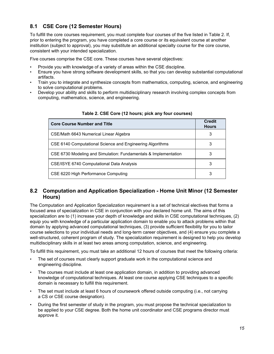### **8.1 CSE Core (12 Semester Hours)**

To fulfill the core courses requirement, you must complete four courses of the five listed in Table 2. If, prior to entering the program, you have completed a core course or its equivalent course at another institution (subject to approval), you may substitute an additional specialty course for the core course, consistent with your intended specialization.

Five courses comprise the CSE core. These courses have several objectives:

- Provide you with knowledge of a variety of areas within the CSE discipline.
- Ensure you have strong software development skills, so that you can develop substantial computational artifacts.
- Train you to integrate and synthesize concepts from mathematics, computing, science, and engineering to solve computational problems.
- Develop your ability and skills to perform multidisciplinary research involving complex concepts from computing, mathematics, science, and engineering.

| <b>Core Course Number and Title</b>                             | <b>Credit</b><br><b>Hours</b> |
|-----------------------------------------------------------------|-------------------------------|
| CSE/Math 6643 Numerical Linear Algebra                          | 3                             |
| CSE 6140 Computational Science and Engineering Algorithms       | 3                             |
| CSE 6730 Modeling and Simulation: Fundamentals & Implementation | 3                             |
| CSE/ISYE 6740 Computational Data Analysis                       | 3                             |
| CSE 6220 High Performance Computing                             | 3                             |

#### **Table 2. CSE Core (12 hours; pick any four courses)**

#### **8.2 Computation and Application Specialization - Home Unit Minor (12 Semester Hours)**

The Computation and Application Specialization requirement is a set of technical electives that forms a focused area of specialization in CSE in conjunction with your declared home unit. The aims of this specialization are to (1) increase your depth of knowledge and skills in CSE computational techniques, (2) equip you with knowledge of a particular application domain to enable you to attack problems within that domain by applying advanced computational techniques, (3) provide sufficient flexibility for you to tailor course selections to your individual needs and long-term career objectives, and (4) ensure you complete a well-structured, coherent program of study. The specialization requirement is designed to help you develop multidisciplinary skills in at least two areas among computation, science, and engineering.

To fulfill this requirement, you must take an additional 12 hours of courses that meet the following criteria:

- The set of courses must clearly support graduate work in the computational science and engineering discipline.
- The courses must include at least one application domain, in addition to providing advanced knowledge of computational techniques. At least one course applying CSE techniques to a specific domain is necessary to fulfill this requirement.
- The set must include at least 6 hours of coursework offered outside computing (i.e., not carrying a CS or CSE course designation).
- During the first semester of study in the program, you must propose the technical specialization to be applied to your CSE degree. Both the home unit coordinator and CSE programs director must approve it.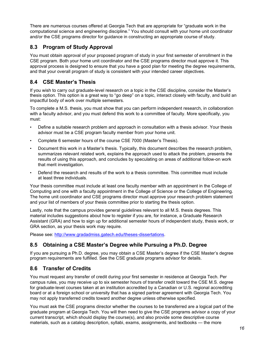There are numerous courses offered at Georgia Tech that are appropriate for "graduate work in the computational science and engineering discipline." You should consult with your home unit coordinator and/or the CSE programs director for guidance in constructing an appropriate course of study.

#### **8.3 Program of Study Approval**

You must obtain approval of your proposed program of study in your first semester of enrollment in the CSE program. Both your home unit coordinator and the CSE programs director must approve it. This approval process is designed to ensure that you have a good plan for meeting the degree requirements, and that your overall program of study is consistent with your intended career objectives.

#### **8.4 CSE Master's Thesis**

If you wish to carry out graduate-level research on a topic in the CSE discipline, consider the Master's thesis option. This option is a great way to "go deep" on a topic, interact closely with faculty, and build an impactful body of work over multiple semesters.

To complete a M.S. thesis, you must show that you can perform independent research, in collaboration with a faculty advisor, and you must defend this work to a committee of faculty. More specifically, you must:

- Define a suitable research problem and approach in consultation with a thesis advisor. Your thesis advisor must be a CSE program faculty member from your home unit.
- Complete 6 semester hours of the course CSE 7000 (Master's Thesis).
- Document this work in a Master's thesis. Typically, this document describes the research problem, summarizes relevant related work, explains the approach used to attack the problem, presents the results of using this approach, and concludes by speculating on areas of additional follow-on work that merit investigation.
- Defend the research and results of the work to a thesis committee. This committee must include at least three individuals.

Your thesis committee must include at least one faculty member with an appointment in the College of Computing and one with a faculty appointment in the College of Science or the College of Engineering. The home unit coordinator and CSE programs director must approve your research problem statement and your list of members of your thesis committee prior to starting the thesis option.

Lastly, note that the campus provides general guidelines relevant to all M.S. thesis degrees. This material includes suggestions about how to register if you are, for instance, a Graduate Research Assistant (GRA) and how to sign up for additional semester hours of independent study, thesis work, or GRA section, as your thesis work may require.

Please see: [http://www.gradadmiss.gatech.edu/theses-dissertations.](http://www.gradadmiss.gatech.edu/theses-dissertations)

#### **8.5 Obtaining a CSE Master's Degree while Pursuing a Ph.D. Degree**

If you are pursuing a Ph.D. degree, you may obtain a CSE Master's degree if the CSE Master's degree program requirements are fulfilled. See the CSE graduate programs advisor for details.

## **8.6 Transfer of Credits**

You must request any transfer of credit during your first semester in residence at Georgia Tech. Per campus rules, you may receive up to six semester hours of transfer credit toward the CSE M.S. degree for graduate-level courses taken at an institution accredited by a Canadian or U.S. regional accrediting board or at a foreign school or university that has a signed partner agreement with Georgia Tech. You may not apply transferred credits toward another degree unless otherwise specified.

You must ask the CSE programs director whether the courses to be transferred are a logical part of the graduate program at Georgia Tech. You will then need to give the CSE programs advisor a copy of your current transcript, which should display the course(s), and also provide some descriptive course materials, such as a catalog description, syllabi, exams, assignments, and textbooks — the more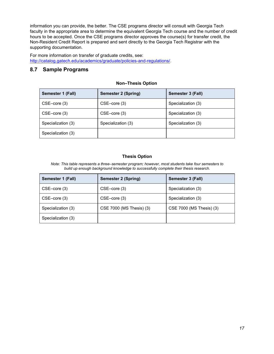information you can provide, the better. The CSE programs director will consult with Georgia Tech faculty in the appropriate area to determine the equivalent Georgia Tech course and the number of credit hours to be accepted. Once the CSE programs director approves the course(s) for transfer credit, the Non-Resident Credit Report is prepared and sent directly to the Georgia Tech Registrar with the supporting documentation.

For more information on transfer of graduate credits, see: [http://catalog.gatech.edu/academics/graduate/policies-and-regulations/.](http://catalog.gatech.edu/academics/graduate/policies-and-regulations/)

#### **8.7 Sample Programs**

| Semester 1 (Fall)  | <b>Semester 2 (Spring)</b> | Semester 3 (Fall)  |
|--------------------|----------------------------|--------------------|
| $CSE$ -core $(3)$  | CSE-core (3)               | Specialization (3) |
| $CSE$ -core $(3)$  | $CSE$ -core $(3)$          | Specialization (3) |
| Specialization (3) | Specialization (3)         | Specialization (3) |
| Specialization (3) |                            |                    |

#### **Non–Thesis Option**

#### **Thesis Option**

*Note: This table represents a three–semester program; however, most students take four semesters to build up enough background knowledge to successfully complete their thesis research.*

| Semester 1 (Fall)  | Semester 2 (Spring)      | Semester 3 (Fall)        |
|--------------------|--------------------------|--------------------------|
| $CSE$ -core (3)    | $CSE$ -core $(3)$        | Specialization (3)       |
| $CSE$ -core $(3)$  | $CSE$ -core $(3)$        | Specialization (3)       |
| Specialization (3) | CSE 7000 (MS Thesis) (3) | CSE 7000 (MS Thesis) (3) |
| Specialization (3) |                          |                          |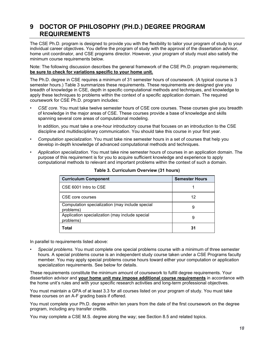## **9 DOCTOR OF PHILOSOPHY (PH.D.) DEGREE PROGRAM REQUIREMENTS**

The CSE Ph.D. program is designed to provide you with the flexibility to tailor your program of study to your individual career objectives. You define the program of study with the approval of the dissertation advisor, home unit coordinator, and CSE programs director. However, your program of study must also satisfy the minimum course requirements below.

Note: The following discussion describes the general framework of the CSE Ph.D. program requirements; **be sure to check for variations specific to your home unit.**

The Ph.D. degree in CSE requires a minimum of 31 semester hours of coursework. (A typical course is 3 semester hours.) Table 3 summarizes these requirements. These requirements are designed give you breadth of knowledge in CSE, depth in specific computational methods and techniques, and knowledge to apply these techniques to problems within the context of a specific application domain. The required coursework for CSE Ph.D. program includes:

• *CSE core*. You must take twelve semester hours of CSE core courses. These courses give you breadth of knowledge in the major areas of CSE. These courses provide a base of knowledge and skills spanning several core areas of computational modeling.

In addition, you must take a one-hour introductory course that focuses on an introduction to the CSE discipline and multidisciplinary communication. You should take this course in your first year.

- *Computation specialization*. You must take nine semester hours in a set of courses that help you develop in-depth knowledge of advanced computational methods and techniques.
- *Application specialization*. You must take nine semester hours of courses in an application domain. The purpose of this requirement is for you to acquire sufficient knowledge and experience to apply computational methods to relevant and important problems within the context of such a domain.

| <b>Curriculum Component</b>                                  | <b>Semester Hours</b> |
|--------------------------------------------------------------|-----------------------|
| CSE 6001 Intro to CSE                                        |                       |
| CSE core courses                                             | 12                    |
| Computation specialization (may include special<br>problems) | 9                     |
| Application specialization (may include special<br>problems) | 9                     |
| Total                                                        | 31                    |

**Table 3. Curriculum Overview (31 hours)**

In parallel to requirements listed above:

• *Special problems.* You must complete one special problems course with a minimum of three semester hours. A special problems course is an independent study course taken under a CSE Programs faculty member. You may apply special problems course hours toward either your computation or application specialization requirements. See below for details.

These requirements constitute the minimum amount of coursework to fulfill degree requirements. Your dissertation advisor and **your home unit may impose additional course requirements** in accordance with the home unit's rules and with your specific research activities and long-term professional objectives.

You must maintain a GPA of at least 3.3 for all courses listed on your program of study. You must take these courses on an A-F grading basis if offered.

You must complete your Ph.D. degree within ten years from the date of the first coursework on the degree program, including any transfer credits.

You may complete a CSE M.S. degree along the way; see Section 8.5 and related topics.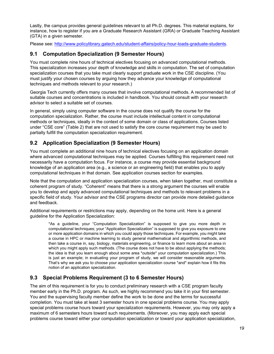Lastly, the campus provides general guidelines relevant to all Ph.D. degrees. This material explains, for instance, how to register if you are a Graduate Research Assistant (GRA) or Graduate Teaching Assistant (GTA) in a given semester.

Please see: [http://www.policylibrary.gatech.edu/student-affairs/policy-hour-loads-graduate-students.](http://www.policylibrary.gatech.edu/student-affairs/policy-hour-loads-graduate-students)

#### **9.1 Computation Specialization (9 Semester Hours)**

You must complete nine hours of technical electives focusing on advanced computational methods. This specialization increases your depth of knowledge and skills in computation. The set of computation specialization courses that you take must clearly support graduate work in the CSE discipline. (You must justify your chosen courses by arguing how they advance your knowledge of computational techniques and methods relevant to your research.)

Georgia Tech currently offers many courses that involve computational methods. A recommended list of suitable courses and concentrations is included in handbook. You should consult with your research advisor to select a suitable set of courses.

In general, simply using computer software in the course does not qualify the course for the computation specialization. Rather, the course must include intellectual content in computational methods or techniques, ideally in the context of some domain or class of applications. Courses listed under "CSE core" (Table 2) that are not used to satisfy the core course requirement may be used to partially fulfill the computation specialization requirement.

#### **9.2 Application Specialization (9 Semester Hours)**

You must complete an additional nine hours of technical electives focusing on an application domain where advanced computational techniques may be applied. Courses fulfilling this requirement need not necessarily have a computation focus. For instance, a course may provide essential background knowledge of an application area (e.g., a science or an engineering field) that enables you to apply computational techniques in that domain. See application courses section for examples.

Note that the computation and application specialization courses, when taken together, must constitute a coherent program of study. "Coherent" means that there is a strong argument the courses will enable you to develop and apply advanced computational techniques and methods to relevant problems in a specific field of study. Your advisor and the CSE programs director can provide more detailed guidance and feedback.

Additional requirements or restrictions may apply, depending on the home unit. Here is a general guideline for the Application Specialization:

\*As a guideline, your "Computation Specialization" is supposed to give you more depth in computational techniques; your "Application Specialization" is supposed to give you exposure to one or more application domains in which you could apply those techniques. For example, you might take a course in HPC or machine learning to study general mathematical and algorithmic methods, and then take a course in, say, biology, materials engineering, or finance to learn more about an area in which you might apply such methods. (The course does not have to be about applying the methods; the idea is that you learn enough about some area \*outside\* your computation specialization.) This is just an example; in evaluating your program of study, we will consider reasonable arguments. That's why we ask you to choose your application specialization course \*and\* explain how it fits this notion of an application specialization.

#### **9.3 Special Problems Requirement (3 to 6 Semester Hours)**

The aim of this requirement is for you to conduct preliminary research with a CSE program faculty member early in the Ph.D. program. As such, we highly recommend you take it in your first semester. You and the supervising faculty member define the work to be done and the terms for successful completion. You must take at least 3 semester hours in one special problems course. You may apply special problems course hours toward your specialization requirements. However, you may only apply a maximum of 6 semesters hours toward such requirements. (Moreover, you may apply each special problems course toward either your computation specialization or toward your application specialization,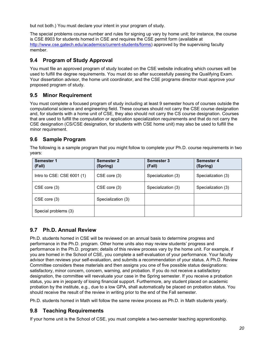but not both.) You must declare your intent in your program of study.

The special problems course number and rules for signing up vary by home unit; for instance, the course is CSE 8903 for students homed in CSE and requires the CSE permit form (available at <http://www.cse.gatech.edu/academics/current-students/forms>[\)](http://www.cseprograms.gatech.edu/sites/default/files/form1.pdf)) approved by the supervising faculty member.

### **9.4 Program of Study Approval**

You must file an approved program of study located on the CSE website indicating which courses will be used to fulfill the degree requirements. You must do so after successfully passing the Qualifying Exam. Your dissertation advisor, the home unit coordinator, and the CSE programs director must approve your proposed program of study.

#### **9.5 Minor Requirement**

You must complete a focused program of study including at least 9 semester hours of courses outside the computational science and engineering field. These courses should not carry the CSE course designation and, for students with a home unit of CSE, they also should not carry the CS course designation. Courses that are used to fulfill the computation or application specialization requirements and that do not carry the CSE designation (CS/CSE designation, for students with CSE home unit) may also be used to fulfill the minor requirement.

#### **9.6 Sample Program**

The following is a sample program that you might follow to complete your Ph.D. course requirements in two years:

| <b>Semester 1</b><br>(Fall)    | <b>Semester 2</b><br>(Spring) | <b>Semester 3</b><br>(Fall) | <b>Semester 4</b><br>(Spring) |
|--------------------------------|-------------------------------|-----------------------------|-------------------------------|
| Intro to $CSE$ : $CSE 6001(1)$ | CSE core (3)                  | Specialization (3)          | Specialization (3)            |
| CSE core (3)                   | CSE core (3)                  | Specialization (3)          | Specialization (3)            |
| CSE core (3)                   | Specialization (3)            |                             |                               |
| Special problems (3)           |                               |                             |                               |

#### **9.7 Ph.D. Annual Review**

Ph.D. students homed in CSE will be reviewed on an annual basis to determine progress and performance in the Ph.D. program. Other home units also may review students' progress and performance in the Ph.D. program; details of this review process vary by the home unit. For example, if you are homed in the School of CSE, you complete a self-evaluation of your performance. Your faculty advisor then reviews your self-evaluation, and submits a recommendation of your status. A Ph.D. Review Committee considers these materials and then assigns you one of five possible status designations: satisfactory, minor concern, concern, warning, and probation. If you do not receive a satisfactory designation, the committee will reevaluate your case in the Spring semester. If you receive a probation status, you are in jeopardy of losing financial support. Furthermore, any student placed on academic probation by the institute, e.g., due to a low GPA, shall automatically be placed on probation status. You should receive the result of the review in writing prior to the end of the Fall semester.

Ph.D. students homed in Math will follow the same review process as Ph.D. in Math students yearly.

#### **9.8 Teaching Requirements**

If your home unit is the School of CSE, you must complete a two-semester teaching apprenticeship.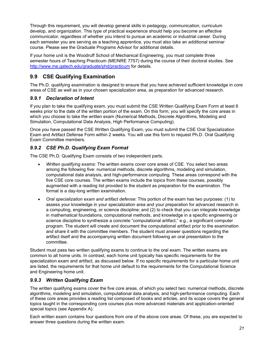Through this requirement, you will develop general skills in pedagogy, communication, curriculum develop, and organization. This type of practical experience should help you become an effective communicator, regardless of whether you intend to pursue an academic or industrial career. During each semester you are serving as a teaching apprentice, you must also take an additional seminar course. Please see the Graduate Programs Advisor for additional details.

If your home unit is the Woodruff School of Mechanical Engineering, you must complete three semester hours of Teaching Practicum (ME/NRE 7757) during the course of their doctoral studies. See <http://www.me.gatech.edu/graduate/phd/practicum> for details.

#### **9.9 CSE Qualifying Examination**

The Ph.D. qualifying examination is designed to ensure that you have achieved sufficient knowledge in core areas of CSE as well as in your chosen specialization area, as preparation for advanced research.

#### *9.9.1 Declaration of Intent*

If you plan to take the qualifying exam, you must submit the CSE Written Qualifying Exam Form at least 6 weeks prior to the date of the written portion of the exam. On this form, you will specify the core areas in which you choose to take the written exam (Numerical Methods, Discrete Algorithms, Modeling and Simulation, Computational Data Analysis, High Performance Computing).

Once you have passed the CSE Written Qualifying Exam, you must submit the CSE Oral Specialization Exam and Artifact Defense Form within 2 weeks. You will use this form to request Ph.D. Oral Qualifying Exam Committee members.

#### *9.9.2 CSE Ph.D. Qualifying Exam Format*

The CSE Ph.D. Qualifying Exam consists of two independent parts.

- *Written qualifying exams*: The written exams cover core areas of CSE. You select two areas among the following five: numerical methods, discrete algorithms, modeling and simulation, computational data analysis, and high-performance computing. These areas correspond with the five CSE core courses. The written exams include the topics from these courses, possibly augmented with a reading list provided to the student as preparation for the examination. The format is a day-long written examination.
- *Oral specialization exam and artifact defense*: This portion of the exam has two purposes: (1) to assess your knowledge in your specialization area and your preparation for advanced research in a computing, engineering, or science discipline; and (2) to check that you can integrate knowledge in mathematical foundations, computational methods, and knowledge in a specific engineering or science discipline to synthesize a concrete "computational artifact," e.g., a significant computer program. The student will create and document the computational artifact prior to the examination and share it with the committee members. The student must answer questions regarding the artifact itself and the accompanying written document following an oral presentation to the committee.

Student must pass two written qualifying exams to continue to the oral exam. The written exams are common to all home units. In contrast, each home unit typically has specific requirements for the specialization exam and artifact, as discussed below. If no specific requirements for a particular home unit are listed, the requirements for that home unit default to the requirements for the Computational Science and Engineering home unit.

#### *9.9.3 Written Qualifying Exam*

The written qualifying exams cover the five core areas, of which you select two: numerical methods, discrete algorithms, modeling and simulation, computational data analysis, and high-performance computing. Each of these core areas provides a reading list composed of books and articles, and its scope covers the general topics taught in the corresponding core courses plus more advanced materials and application-oriented special topics (see Appendix A).

Each written exam contains four questions from one of the above core areas. Of these, you are expected to answer three questions during the written exam.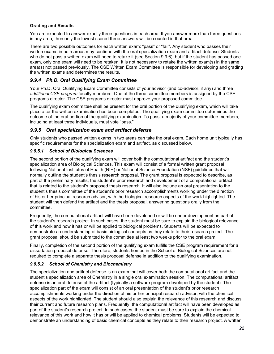#### **Grading and Results**

You are expected to answer exactly three questions in each area. If you answer more than three questions in any area, then only the lowest scored three answers will be counted in that area.

There are two possible outcomes for each written exam: "pass" or "fail". Any student who passes their written exams in both areas may continue with the oral specialization exam and artifact defense. Students who do not pass a written exam will need to retake it (see Section 9.9.6), but if the student has passed one exam, only one exam will need to be retaken. It is not necessary to retake the written exam(s) in the same area(s) not passed previously. The CSE Written Exam Committee is responsible for developing and grading the written exams and determines the results.

#### *9.9.4 Ph.D. Oral Qualifying Exam Committee*

Your Ph.D. Oral Qualifying Exam Committee consists of your advisor (and co-advisor, if any) and three *additional CSE program* faculty members. One of the three committee members is assigned by the CSE programs director. The CSE programs director must approve your proposed committee.

The qualifying exam committee shall be present for the oral portion of the qualifying exam, which will take place after the written examination has been completed. The qualifying exam committee determines the outcome of the oral portion of the qualifying examination. To pass, a majority of your committee members, including at least three individuals, must vote "pass."

#### *9.9.5 Oral specialization exam and artifact defense*

Only students who passed written exams in two areas can take the oral exam. Each home unit typically has specific requirements for the specialization exam and artifact, as discussed below.

#### *9.9.5.1 School of Biological Sciences*

The second portion of the qualifying exam will cover both the computational artifact and the student's specialization area of Biological Sciences. This exam will consist of a formal written grant proposal following National Institutes of Health (NIH) or National Science Foundation (NSF) guidelines that will normally outline the student's thesis research proposal. The grant proposal is expected to describe, as part of the preliminary results, the student's prior research and development of a computational artifact that is related to the student's proposed thesis research. It will also include an oral presentation to the student's thesis committee of the student's prior research accomplishments working under the direction of his or her principal research advisor, with the biological research aspects of the work highlighted. The student will then defend the artifact and the thesis proposal, answering questions orally from the committee.

Frequently, the computational artifact will have been developed or will be under development as part of the student's research project. In such cases, the student must be sure to explain the biological relevance of this work and how it has or will be applied to biological problems. Students will be expected to demonstrate an understanding of basic biological concepts as they relate to their research project. The grant proposal should be submitted to the committee at least two weeks prior to the oral exam.

Finally, completion of the second portion of the qualifying exam fulfills the CSE program requirement for a dissertation proposal defense. Therefore, students homed in the School of Biological Sciences are not required to complete a separate thesis proposal defense in addition to the qualifying examination.

#### *9.9.5.2 School of Chemistry and Biochemistry*

The specialization and artifact defense is an exam that will cover both the computational artifact and the student's specialization area of Chemistry in a single oral examination session. The computational artifact defense is an oral defense of the artifact (typically a software program developed by the student). The specialization part of the exam will consist of an oral presentation of the student's prior research accomplishments working under the direction of his or her principal research advisor, with the chemical aspects of the work highlighted. The student should also explain the relevance of this research and discuss their current and future research plans. Frequently, the computational artifact will have been developed as part of the student's research project. In such cases, the student must be sure to explain the chemical relevance of this work and how it has or will be applied to chemical problems. Students will be expected to demonstrate an understanding of basic chemical concepts as they relate to their research project. A written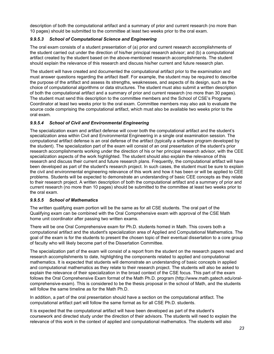description of both the computational artifact and a summary of prior and current research (no more than 10 pages) should be submitted to the committee at least two weeks prior to the oral exam.

#### *9.9.5.3 School of Computational Science and Engineering*

The oral exam consists of a student presentation of (a) prior and current research accomplishments of the student carried out under the direction of his/her principal research advisor; and (b) a computational artifact created by the student based on the above-mentioned research accomplishments. The student should explain the relevance of this research and discuss his/her current and future research plan.

The student will have created and documented the computational artifact prior to the examination and must answer questions regarding the artifact itself. For example, the student may be required to describe the purpose of the artifact and assess its strengths, weaknesses, and aspects of its design, such as the choice of computational algorithms or data structures. The student must also submit a written description of both the computational artifact and a summary of prior and current research (no more than 30 pages). The student must send this description to the committee members and the School of CSE's Programs Coordinator at least two weeks prior to the oral exam. Committee members may also ask to evaluate the source code comprising the computational artifact, which must also be available two weeks prior to the oral exam.

#### *9.9.5.4 School of Civil and Environmental Engineering*

The specialization exam and artifact defense will cover both the computational artifact and the student's specialization area within Civil and Environmental Engineering in a single oral examination session. The computational artifact defense is an oral defense of the artifact (typically a software program developed by the student). The specialization part of the exam will consist of an oral presentation of the student's prior research accomplishments working under the direction of his or her principal research advisor, with the CEE specialization aspects of the work highlighted. The student should also explain the relevance of this research and discuss their current and future research plans. Frequently, the computational artifact will have been developed as part of the student's research project. In such cases, the student must be sure to explain the civil and environmental engineering relevance of this work and how it has been or will be applied to CEE problems. Students will be expected to demonstrate an understanding of basic CEE concepts as they relate to their research project. A written description of both the computational artifact and a summary of prior and current research (no more than 10 pages) should be submitted to the committee at least two weeks prior to the oral exam.

#### *9.9.5.5 School of Mathematics*

The written qualifying exam portion will be the same as for all CSE students. The oral part of the Qualifying exam can be combined with the Oral Comprehensive exam with approval of the CSE Math home unit coordinator after passing two written exams.

There will be one Oral Comprehensive exam for Ph.D. students homed in Math. This covers both a computational artifact and the student's specialization area of Applied and Computational Mathematics. The goal of the exam is for the students to present the chosen topic of their eventual dissertation to a core group of faculty who will likely become part of the Dissertation Committee.

The specialization part of the exam will consist of a report from the student on the research papers read and research accomplishments to date, highlighting the components related to applied and computational mathematics. It is expected that students will demonstrate an understanding of basic concepts in applied and computational mathematics as they relate to their research project. The students will also be asked to explain the relevance of their specialization in the broad context of the CSE focus. This part of the exam follows the Oral Comprehensive Exam format of the Math Ph.D. program [\(http://www.math.gatech.edu/oral](http://www.math.gatech.edu/oral-comprehensive-exam)[comprehensive-exam\)](http://www.math.gatech.edu/oral-comprehensive-exam). This is considered to be the thesis proposal in the school of Math, and the students will follow the same timeline as for the Math Ph.D.

In addition, a part of the oral presentation should have a section on the computational artifact. The computational artifact part will follow the same format as for all CSE Ph.D. students.

It is expected that the computational artifact will have been developed as part of the student's coursework and directed study under the direction of their advisors. The students will need to explain the relevance of this work in the context of applied and computational mathematics. The students will also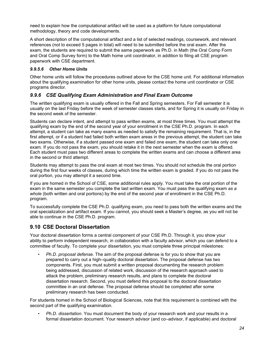need to explain how the computational artifact will be used as a platform for future computational methodology, theory and code developments.

A short description of the computational artifact and a list of selected readings, coursework, and relevant references (not to exceed 5 pages in total) will need to be submitted before the oral exam. After the exam, the students are required to submit the same paperwork as Ph.D. in Math (the Oral Comp Form and Oral Comp Survey form) to the Math home unit coordinator, in addition to filing all CSE program paperwork with CSE department.

#### *9.9.5.6 Other Home Units*

Other home units will follow the procedures outlined above for the CSE home unit. For additional information about the qualifying examination for other home units, please contact the home unit coordinator or CSE programs director.

#### *9.9.6 CSE Qualifying Exam Administration and Final Exam Outcome*

The written qualifying exam is usually offered in the Fall and Spring semesters. For Fall semester it is usually on the last Friday before the week of semester classes starts, and for Spring it is usually on Friday in the second week of the semester.

Students can declare intent, and attempt to pass written exams, at most three times. You must attempt the qualifying exam by the end of the second year of your enrollment in the CSE Ph.D. program. In each attempt, a student can take as many exams as needed to satisfy the remaining requirement. That is, in the first attempt, or if a student had failed both written exam areas in the previous attempt, the student can take two exams. Otherwise, if a student passed one exam and failed one exam, the student can take only one exam. If you do not pass the exam, you should retake it in the next semester when the exam is offered. Each student must pass two different areas to complete the written exams and can choose a different area in the second or third attempt.

Students may attempt to pass the oral exam at most two times. You should not schedule the oral portion during the first four weeks of classes, during which time the written exam is graded. If you do not pass the oral portion, you may attempt it a second time.

If you are homed in the School of CSE, some additional rules apply. You must take the oral portion of the exam in the same semester you complete the last written exam. You must pass the qualifying exam *as a whole* (both written and oral portions) by the end of the second year of enrollment in the CSE Ph.D. program.

To successfully complete the CSE Ph.D. qualifying exam, you need to pass both the written exams and the oral specialization and artifact exam. If you cannot, you should seek a Master's degree, as you will not be able to continue in the CSE Ph.D. program.

#### **9.10 CSE Doctoral Dissertation**

Your doctoral dissertation forms a central component of your CSE Ph.D. Through it, you show your ability to perform independent research, in collaboration with a faculty advisor, which you can defend to a committee of faculty. To complete your dissertation, you must complete three principal milestones:

• *Ph.D. proposal defense*. The aim of the proposal defense is for you to show that you are prepared to carry out a high–quality doctoral dissertation. The proposal defense has two components. First, you must submit a written proposal documenting the research problem being addressed, discussion of related work, discussion of the research approach used to attack the problem, preliminary research results, and plans to complete the doctoral dissertation research. Second, you must defend this proposal to the doctoral dissertation committee in an oral defense. The proposal defense should be completed after some preliminary research has been conducted.

For students homed in the School of Biological Sciences, note that this requirement is combined with the second part of the qualifying examination.

• *Ph.D. dissertation*. You must document the body of your research work and your results in a formal dissertation document. Your research advisor (and co–advisor, if applicable) and doctoral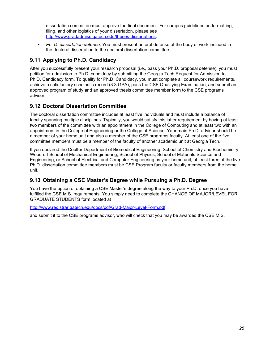dissertation committee must approve the final document. For campus guidelines on formatting, filing, and other logistics of your dissertation, please see [http://www.gradadmiss.gatech.edu/theses-dissertations.](http://www.gradadmiss.gatech.edu/theses-dissertations)

• *Ph. D. dissertation defense*. You must present an oral defense of the body of work included in the doctoral dissertation to the doctoral dissertation committee.

#### **9.11 Applying to Ph.D. Candidacy**

After you successfully present your research proposal (i.e., pass your Ph.D. proposal defense), you must petition for admission to Ph.D. candidacy by submitting the Georgia Tech Request for Admission to Ph.D. Candidacy form. To qualify for Ph.D. Candidacy, you must complete all coursework requirements, achieve a satisfactory scholastic record (3.3 GPA), pass the CSE Qualifying Examination, and submit an approved program of study and an approved thesis committee member form to the CSE programs advisor.

#### **9.12 Doctoral Dissertation Committee**

The doctoral dissertation committee includes at least five individuals and must include a balance of faculty spanning multiple disciplines. Typically, you would satisfy this latter requirement by having at least two members of the committee with an appointment in the College of Computing and at least two with an appointment in the College of Engineering or the College of Science. Your main Ph.D. advisor should be a member of your home unit and also a member of the CSE programs faculty. At least one of the five committee members must be a member of the faculty of another academic unit at Georgia Tech.

If you declared the Coulter Department of Biomedical Engineering, School of Chemistry and Biochemistry, Woodruff School of Mechanical Engineering, School of Physics, School of Materials Science and Engineering, or School of Electrical and Computer Engineering as your home unit, at least three of the five Ph.D. dissertation committee members must be CSE Program faculty or faculty members from the home unit.

#### **9.13 Obtaining a CSE Master's Degree while Pursuing a Ph.D. Degree**

You have the option of obtaining a CSE Master's degree along the way to your Ph.D. once you have fulfilled the CSE M.S. requirements. You simply need to complete the CHANGE OF MAJOR/LEVEL FOR GRADUATE STUDENTS form located at

<http://www.registrar.gatech.edu/docs/pdf/Grad-Major-Level-Form.pdf>

and submit it to the CSE programs advisor, who will check that you may be awarded the CSE M.S.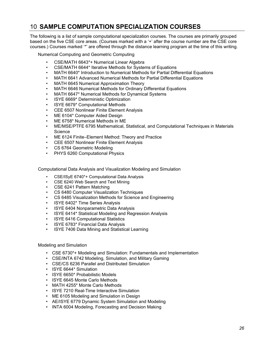## 10 **SAMPLE COMPUTATION SPECIALIZATION COURSES**

The following is a list of sample computational specialization courses. The courses are primarily grouped based on the five CSE core areas. (Courses marked with a '+' after the course number are the CSE core courses.) Courses marked '\*' are offered through the distance learning program at the time of this writing.

Numerical Computing and Geometric Computing

- CSE/MATH 6643\*+ Numerical Linear Algebra
- CSE/MATH 6644\* Iterative Methods for Systems of Equations
- MATH 6640\* Introduction to Numerical Methods for Partial Differential Equations
- MATH 6641 Advanced Numerical Methods for Partial Differential Equations
- MATH 6645 Numerical Approximation Theory
- MATH 6646 Numerical Methods for Ordinary Differential Equations
- MATH 6647\* Numerical Methods for Dynamical Systems
- ISYE 6669\* Deterministic Optimization
- ISYE 6679\* Computational Methods
- CEE 6507 Nonlinear Finite Element Analysis
- ME 6104\* Computer Aided Design
- ME 6758\* Numerical Methods in ME
- ME/MSE/PTFE 6795 Mathematical, Statistical, and Computational Techniques in Materials Science
- ME 6124 Finite–Element Method: Theory and Practice
- CEE 6507 Nonlinear Finite Element Analysis
- CS 6764 Geometric Modeling
- PHYS 6260 Computational Physics

Computational Data Analysis and Visualization Modeling and Simulation

- CSE/ISyE 6740\*+ Computational Data Analysis
- CSE 6240 Web Search and Text Mining
- CSE 6241 Pattern Matching
- CS 6480 Computer Visualization Techniques
- CS 6485 Visualization Methods for Science and Engineering
- ISYE 6402\* Time Series Analysis
- ISYE 6404 Nonparametric Data Analysis
- ISYE 6414\* Statistical Modeling and Regression Analysis
- ISYE 6416 Computational Statistics
- ISYE 6783\* Financial Data Analysis
- ISYE 7406 Data Mining and Statistical Learning

#### Modeling and Simulation

- CSE 6730\*+ Modeling and Simulation: Fundamentals and Implementation
- CSE/INTA 6742 Modeling, Simulation, and Military Gaming
- CSE/CS 6236 Parallel and Distributed Simulation
- ISYE 6644\* Simulation
- ISYE 6650\* Probabilistic Models
- ISYE 6645 Monte Carlo Methods
- MATH 4255\* Monte Carlo Methods
- ISYE 7210 Real-Time Interactive Simulation
- ME 6105 Modeling and Simulation in Design
- AE/ISYE 6779 Dynamic System Simulation and Modeling
- INTA 6004 Modeling, Forecasting and Decision Making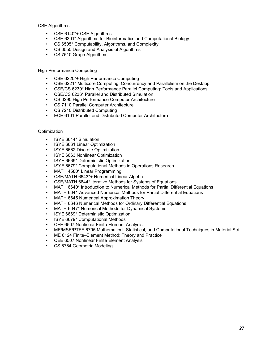CSE Algorithms

- CSE 6140\*+ CSE Algorithms
- CSE 6301\* Algorithms for Bioinformatics and Computational Biology
- CS 6505\* Computability, Algorithms, and Complexity
- CS 6550 Design and Analysis of Algorithms
- CS 7510 Graph Algorithms

High Performance Computing

- CSE 6220\*+ High Performance Computing
- CSE 6221\* Multicore Computing: Concurrency and Parallelism on the Desktop
- CSE/CS 6230\* High Performance Parallel Computing: Tools and Applications
- CSE/CS 6236\* Parallel and Distributed Simulation
- CS 6290 High Performance Computer Architecture
- CS 7110 Parallel Computer Architecture
- CS 7210 Distributed Computing
- ECE 6101 Parallel and Distributed Computer Architecture

#### **Optimization**

- ISYE 6644\* Simulation
- ISYE 6661 Linear Optimization
- ISYE 6662 Discrete Optimization
- ISYE 6663 Nonlinear Optimization
- ISYE 6669\* Deterministic Optimization
- ISYE 6679\* Computational Methods in Operations Research
- MATH 4580\* Linear Programming
- CSE/MATH 6643\*+ Numerical Linear Algebra
- CSE/MATH 6644\* Iterative Methods for Systems of Equations
- MATH 6640\* Introduction to Numerical Methods for Partial Differential Equations
- MATH 6641 Advanced Numerical Methods for Partial Differential Equations
- MATH 6645 Numerical Approximation Theory
- MATH 6646 Numerical Methods for Ordinary Differential Equations
- MATH 6647\* Numerical Methods for Dynamical Systems
- ISYE 6669\* Deterministic Optimization
- ISYE 6679\* Computational Methods
- CEE 6507 Nonlinear Finite Element Analysis
- ME/MSE/PTFE 6795 Mathematical, Statistical, and Computational Techniques in Material Sci.
- ME 6124 Finite–Element Method: Theory and Practice
- CEE 6507 Nonlinear Finite Element Analysis
- CS 6764 Geometric Modeling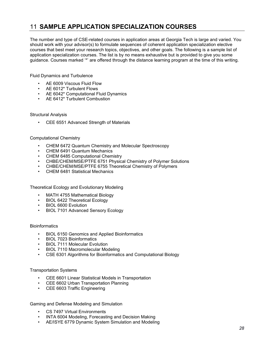## 11 **SAMPLE APPLICATION SPECIALIZATION COURSES**

The number and type of CSE-related courses in application areas at Georgia Tech is large and varied. You should work with your advisor(s) to formulate sequences of coherent application specialization elective courses that best meet your research topics, objectives, and other goals. The following is a sample list of application specialization courses. The list is by no means exhaustive but is provided to give you some guidance. Courses marked '\*' are offered through the distance learning program at the time of this writing.

Fluid Dynamics and Turbulence

- AE 6009 Viscous Fluid Flow
- AE 6012\* Turbulent Flows
- AE 6042\* Computational Fluid Dynamics
- AE 6412\* Turbulent Combustion

Structural Analysis

• CEE 6551 Advanced Strength of Materials

#### Computational Chemistry

- CHEM 6472 Quantum Chemistry and Molecular Spectroscopy
- CHEM 6491 Quantum Mechanics
- CHEM 6485 Computational Chemistry
- CHBE/CHEM/MSE/PTFE 6751 Physical Chemistry of Polymer Solutions
- CHBE/CHEM/MSE/PTFE 6755 Theoretical Chemistry of Polymers
- CHEM 6481 Statistical Mechanics

Theoretical Ecology and Evolutionary Modeling

- MATH 4755 Mathematical Biology
- BIOL 6422 Theoretical Ecology
- BIOL 6600 Evolution
- BIOL 7101 Advanced Sensory Ecology

#### **Bioinformatics**

- BIOL 6150 Genomics and Applied Bioinformatics
- BIOL 7023 Bioinformatics
- BIOL 7111 Molecular Evolution
- BIOL 7110 Macromolecular Modeling
- CSE 6301 Algorithms for Bioinformatics and Computational Biology

#### Transportation Systems

- CEE 6601 Linear Statistical Models in Transportation
- CEE 6602 Urban Transportation Planning
- CEE 6603 Traffic Engineering

Gaming and Defense Modeling and Simulation

- CS 7497 Virtual Environments
- INTA 6004 Modeling, Forecasting and Decision Making
- AE/ISYE 6779 Dynamic System Simulation and Modeling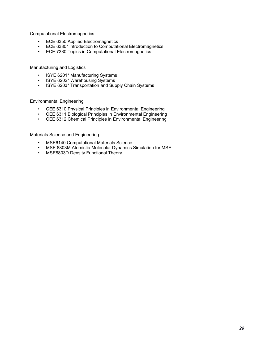Computational Electromagnetics

- ECE 6350 Applied Electromagnetics
- ECE 6380\* Introduction to Computational Electromagnetics
- ECE 7380 Topics in Computational Electromagnetics

Manufacturing and Logistics

- ISYE 6201\* Manufacturing Systems
- ISYE 6202\* Warehousing Systems
- ISYE 6203\* Transportation and Supply Chain Systems

Environmental Engineering

- CEE 6310 Physical Principles in Environmental Engineering
- CEE 6311 Biological Principles in Environmental Engineering
- CEE 6312 Chemical Principles in Environmental Engineering

Materials Science and Engineering

- MSE6140 Computational Materials Science
- MSE 8803M Atomistic-Molecular Dynamics Simulation for MSE
- MSE8803D Density Functional Theory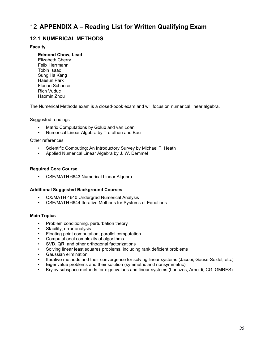#### **12.1 NUMERICAL METHODS**

#### **Faculty**

- **Edmond Chow, Lead**
- Elizabeth Cherry Felix Herrmann Tobin Isaac Sung Ha Kang Haesun Park Florian Schaefer Rich Vuduc Haomin Zhou

The Numerical Methods exam is a closed-book exam and will focus on numerical linear algebra.

Suggested readings

- Matrix Computations by Golub and van Loan
- Numerical Linear Algebra by Trefethen and Bau

Other references

- Scientific Computing: An Introductory Survey by Michael T. Heath
- Applied Numerical Linear Algebra by J. W. Demmel

#### **Required Core Course**

• CSE/MATH 6643 Numerical Linear Algebra

#### **Additional Suggested Background Courses**

- CX/MATH 4640 Undergrad Numerical Analysis
- CSE/MATH 6644 Iterative Methods for Systems of Equations

#### **Main Topics**

- Problem conditioning, perturbation theory
- Stability, error analysis
- Floating point computation, parallel computation
- Computational complexity of algorithms
- SVD, QR, and other orthogonal factorizations
- Solving linear least squares problems, including rank deficient problems
- Gaussian elimination
- Iterative methods and their convergence for solving linear systems (Jacobi, Gauss-Seidel, etc.)
- Eigenvalue problems and their solution (symmetric and nonsymmetric)
- Krylov subspace methods for eigenvalues and linear systems (Lanczos, Arnoldi, CG, GMRES)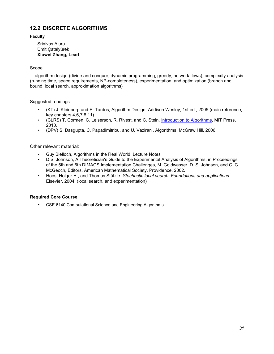#### **12.2 DISCRETE ALGORITHMS**

#### **Faculty**

Srinivas Aluru Ümit Çatalyürek **Xiuwei Zhang, Lead**

#### Scope

algorithm design (divide and conquer, dynamic programming, greedy, network flows), complexity analysis (running time, space requirements, NP-completeness), experimentation, and optimization (branch and bound, local search, approximation algorithms)

#### Suggested readings

- (KT) J. Kleinberg and E. Tardos, Algorithm Design, Addison Wesley, 1st ed., 2005 (main reference, key chapters 4,6,7,8,11)
- (CLRS) T. Cormen, C. Leiserson, R. Rivest, and C. Stein. [Introduction to](http://mitpress.mit.edu/algorithms/) Algorithms, MIT Press, 2010.
- (DPV) S. Dasgupta, C. Papadimitriou, and U. Vazirani, Algorithms, McGraw Hill, 2006

#### Other relevant material:

- Guy Blelloch, Algorithms in the Real World, Lecture Notes
- D.S. Johnson, A Theoretician's Guide to the Experimental Analysis of Algorithms, in Proceedings of the 5th and 6th DIMACS Implementation Challenges, M. Goldwasser, D. S. Johnson, and C. C. McGeoch, Editors, American Mathematical Society, Providence, 2002.
- Hoos, Holger H., and Thomas Stützle. *Stochastic local search: Foundations and applications*. Elsevier, 2004. (local search, and experimentation)

#### **Required Core Course**

• CSE 6140 Computational Science and Engineering Algorithms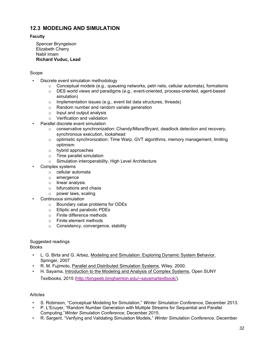#### **12.3 MODELING AND SIMULATION**

#### **Faculty**

Spencer Bryngelson Elizabeth Cherry Nabil Imam **Richard Vuduc, Lead**

#### Scope

- Discrete event simulation methodology
	- $\circ$  Conceptual models (e.g., queueing networks, petri nets, cellular automata), formalisms
	- o DES world views and paradigms (e.g., event-oriented, process-oriented, agent-based simulation)
	- $\circ$  Implementation issues (e.g., event list data structures, threads)
	- o Random number and random variate generation
	- o Input and output analysis
	- o Verification and validation
	- Parallel discrete event simulation
		- $\circ$  conservative synchronization: Chandy/Misra/Bryant, deadlock detection and recovery, synchronous execution, lookahead
		- $\circ$  optimistic synchronization: Time Warp, GVT algorithms, memory management, limiting optimism
		- o hybrid approaches
		- o Time parallel simulation
		- o Simulation interoperability, High Level Architecture
- Complex systems
	- o cellular automata
	- o emergence
	- o linear analysis
	- o bifurcations and chaos
	- o power laws, scaling
- Continuous simulation
	- o Boundary value problems for ODEs
	- o Elliptic and parabolic PDEs
	- o Finite difference methods
	- o Finite element methods
	- o Consistency, convergence, stability

#### Suggested readings

Books

- L. G. Birta and G. Arbez, Modeling and Simulation: Exploring Dynamic System Behavior, Springer, 2007
- R. M. Fujimoto, Parallel and Distributed Simulation Systems, Wiley, 2000.
- H. Sayama, Introduction to the Modeling and Analysis of Complex Systems, Open SUNY Textbooks, 2015 [\(http://bingweb.binghamton.edu/~sayama/textbook/\)](http://bingweb.binghamton.edu/%7Esayama/textbook/).

#### Articles

- S. Robinson, "Conceptual Modeling for Simulation," *Winter Simulation Conference,* December 2013.
- P. L'Ecuyer, "Random Number Generation with Multiple Streams for Sequential and Parallel Computing,"*Winter Simulation Conference*, December 2015.
- R. Sargent, "Verifying and Validating Simulation Models," *Winter Simulation Conference*, December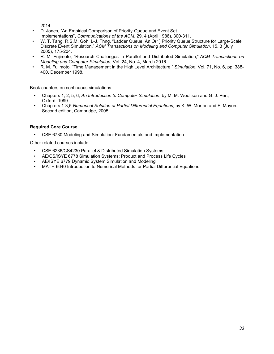2014.

- D. Jones, "An Empirical Comparison of Priority-Queue and Event Set Implementations", *Communications of the ACM*, 29, 4 (April 1986), 300-311.
- W. T. Tang, R.S.M. Goh, L-J. Thng, "Ladder Queue: An O(1) Priority Queue Structure for Large-Scale Discrete Event Simulation," *ACM Transactions on Modeling and Computer Simulation*, 15, 3 (July 2005), 175-204.
- R. M. Fujimoto, "Research Challenges in Parallel and Distributed Simulation," *ACM Transactions on Modeling and Computer Simulation*, Vol. 24, No. 4, March 2016.
- R. M. Fujimoto, "Time Management in the High Level Architecture," *Simulation*, Vol. 71, No. 6, pp. 388- 400, December 1998.

Book chapters on continuous simulations

- Chapters 1, 2, 5, 6, *An Introduction to Computer Simulation*, by M. M. Woolfson and G. J. Pert, Oxford, 1999.
- Chapters 1-3,5 *Numerical Solution of Partial Differential Equations*, by K. W. Morton and F. Mayers, Second edition, Cambridge, 2005.

#### **Required Core Course**

• CSE 6730 Modeling and Simulation: Fundamentals and Implementation

Other related courses include:

- CSE 6236/CS4230 Parallel & Distributed Simulation Systems
- AE/CS/ISYE 6778 Simulation Systems: Product and Process Life Cycles
- AE/ISYE 6779 Dynamic System Simulation and Modeling
- MATH 6640 Introduction to Numerical Methods for Partial Differential Equations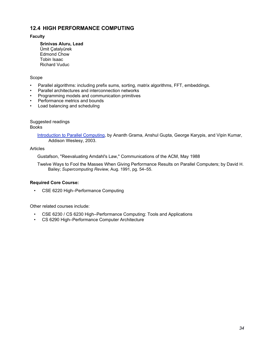#### **12.4 HIGH PERFORMANCE COMPUTING**

#### **Faculty**

**Srinivas Aluru, Lead** Ümit Çatalyürek Edmond Chow Tobin Isaac Richard Vuduc

#### Scope

- Parallel algorithms: including prefix sums, sorting, matrix algorithms, FFT, embeddings.
- Parallel architectures and interconnection networks
- Programming models and communication primitives
- Performance metrics and bounds
- Load balancing and scheduling

Suggested readings Books

> Introduction to Parallel Computing, by Ananth Grama, Anshul Gupta, George Karypis, and Vipin Kumar, Addison Weslesy, 2003.

#### Articles

Gustafson, "Reevaluating Amdahl's Law," Communications of the ACM, May 1988

Twelve Ways to Fool the Masses When Giving Performance Results on Parallel Computers; by David H. Bailey; *Supercomputing Review*, Aug. 1991, pg. 54–55.

#### **Required Core Course:**

• CSE 6220 High–Performance Computing

Other related courses include:

- CSE 6230 / CS 6230 High–Performance Computing: Tools and Applications
- CS 6290 High–Performance Computer Architecture